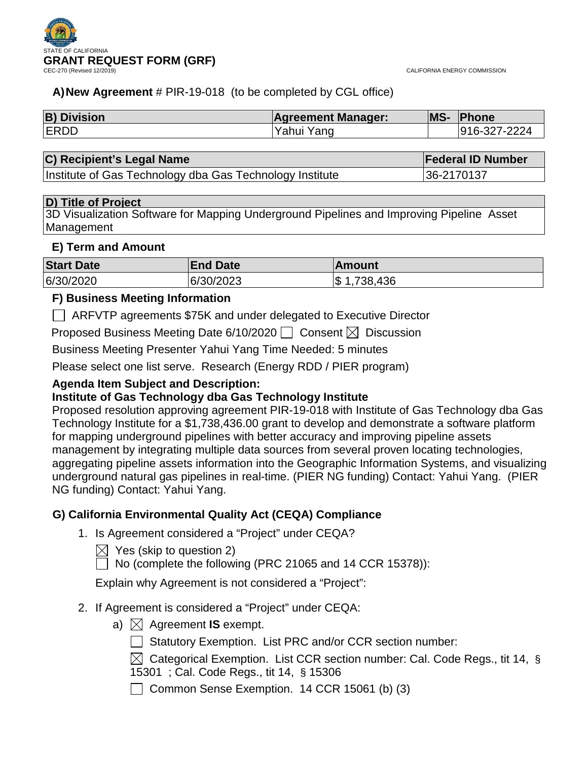



## **A)New Agreement** # PIR-19-018 (to be completed by CGL office)

| <b>B) Division</b> | <b>Agreement Manager:</b> | MS- | <b>IPhone</b> |
|--------------------|---------------------------|-----|---------------|
| <b>ERDD</b>        | Yahui Yang                |     | 916-327-2224  |

| C) Recipient's Legal Name                                | <b>Federal ID Number</b> |
|----------------------------------------------------------|--------------------------|
| Institute of Gas Technology dba Gas Technology Institute | 136-2170137              |

## **D) Title of Project**

3D Visualization Software for Mapping Underground Pipelines and Improving Pipeline Asset Management

## **E) Term and Amount**

| <b>Start Date</b> | <b>End Date</b> | <b>Amount</b>        |
|-------------------|-----------------|----------------------|
| 6/30/2020         | 6/30/2023       | .436<br>1,738,<br>S. |

## **F) Business Meeting Information**

ARFVTP agreements \$75K and under delegated to Executive Director

Proposed Business Meeting Date 6/10/2020  $\Box$  Consent  $\boxtimes$  Discussion

Business Meeting Presenter Yahui Yang Time Needed: 5 minutes

Please select one list serve. Research (Energy RDD / PIER program)

## **Agenda Item Subject and Description:**

## **Institute of Gas Technology dba Gas Technology Institute**

Proposed resolution approving agreement PIR-19-018 with Institute of Gas Technology dba Gas Technology Institute for a \$1,738,436.00 grant to develop and demonstrate a software platform for mapping underground pipelines with better accuracy and improving pipeline assets management by integrating multiple data sources from several proven locating technologies, aggregating pipeline assets information into the Geographic Information Systems, and visualizing underground natural gas pipelines in real-time. (PIER NG funding) Contact: Yahui Yang. (PIER NG funding) Contact: Yahui Yang.

## **G) California Environmental Quality Act (CEQA) Compliance**

1. Is Agreement considered a "Project" under CEQA?

 $\boxtimes$  Yes (skip to question 2)

 $\Box$  No (complete the following (PRC 21065 and 14 CCR 15378)):

Explain why Agreement is not considered a "Project":

## 2. If Agreement is considered a "Project" under CEQA:

- a)  $\boxtimes$  Agreement **IS** exempt.
	- Statutory Exemption. List PRC and/or CCR section number:
	- $\boxtimes$  Categorical Exemption. List CCR section number: Cal. Code Regs., tit 14, §
	- 15301 ; Cal. Code Regs., tit 14, § 15306

Common Sense Exemption.  $14$  CCR 15061 (b) (3)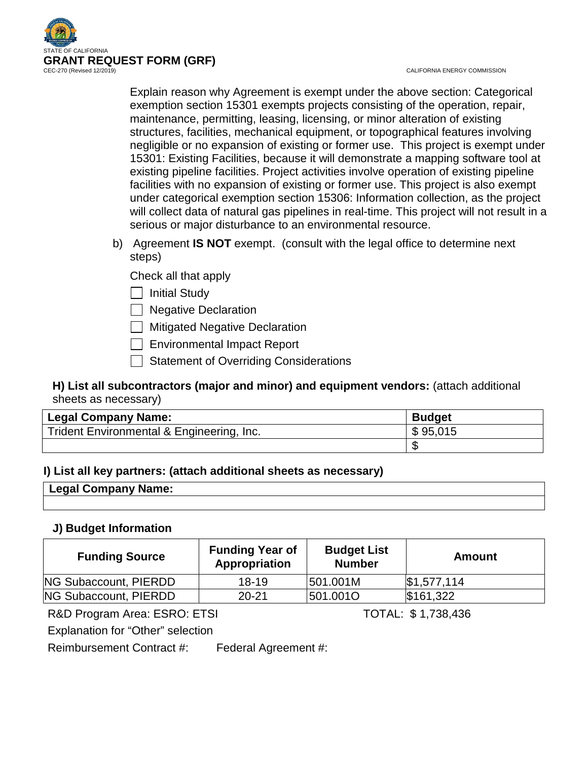

CALIFORNIA ENERGY COMMISSION

Explain reason why Agreement is exempt under the above section: Categorical exemption section 15301 exempts projects consisting of the operation, repair, maintenance, permitting, leasing, licensing, or minor alteration of existing structures, facilities, mechanical equipment, or topographical features involving negligible or no expansion of existing or former use. This project is exempt under 15301: Existing Facilities, because it will demonstrate a mapping software tool at existing pipeline facilities. Project activities involve operation of existing pipeline facilities with no expansion of existing or former use. This project is also exempt under categorical exemption section 15306: Information collection, as the project will collect data of natural gas pipelines in real-time. This project will not result in a serious or major disturbance to an environmental resource.

b) Agreement **IS NOT** exempt. (consult with the legal office to determine next steps)

Check all that apply

 $\Box$  Initial Study

 $\Box$  Negative Declaration

**Mitigated Negative Declaration** 

Environmental Impact Report

Statement of Overriding Considerations

## **H) List all subcontractors (major and minor) and equipment vendors:** (attach additional sheets as necessary)

| Legal Company Name:                       | <b>Budget</b> |
|-------------------------------------------|---------------|
| Trident Environmental & Engineering, Inc. | \$95,015      |
|                                           |               |

## **I) List all key partners: (attach additional sheets as necessary)**

| Company<br>Name:<br>່ <sup>o</sup> 0ar ບ |  |
|------------------------------------------|--|
|                                          |  |

## **J) Budget Information**

| <b>Funding Source</b> | <b>Funding Year of</b><br>Appropriation | <b>Budget List</b><br><b>Number</b> | Amount                 |
|-----------------------|-----------------------------------------|-------------------------------------|------------------------|
| NG Subaccount, PIERDD | 18-19                                   | 501.001M                            | $\frac{1}{31.577,114}$ |
| NG Subaccount, PIERDD | $20 - 21$                               | 501.0010                            | \$161,322              |

R&D Program Area: ESRO: ETSI TOTAL: \$1,738,436

Explanation for "Other" selection

Reimbursement Contract #: Federal Agreement #: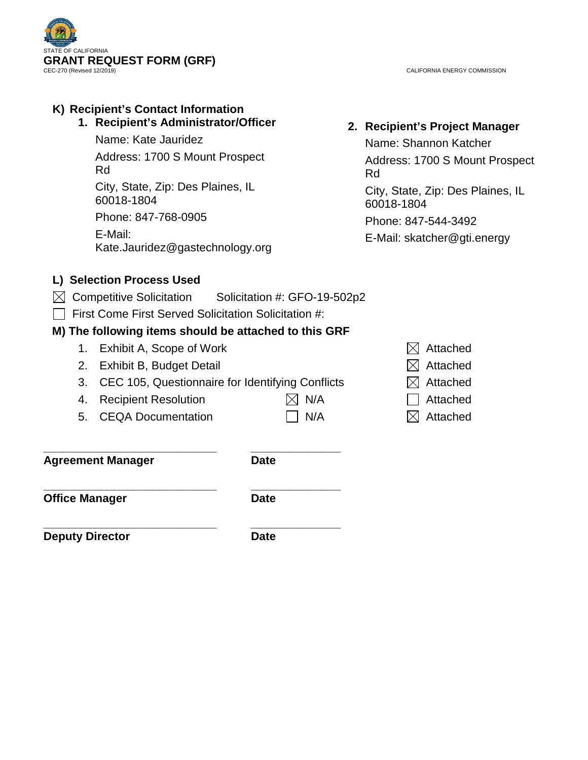

CALIFORNIA ENERGY COMMISSION

# **K) Recipient's Contact Information 1. Recipient's Administrator/Officer** Name: Kate Jauridez Address: 1700 S Mount Prospect Rd City, State, Zip: Des Plaines, IL 60018-1804 Phone: 847-768-0905 E-Mail: Kate.Jauridez@gastechnology.org **L) Selection Process Used**   $\boxtimes$  Competitive Solicitation Solicitation #: GFO-19-502p2

 $\Box$  First Come First Served Solicitation Solicitation #:

**\_\_\_\_\_\_\_\_\_\_\_\_\_\_\_\_\_\_\_\_\_\_\_\_\_\_\_ \_\_\_\_\_\_\_\_\_\_\_\_\_\_**

## **M) The following items should be attached to this GRF**

- 1. Exhibit A, Scope of Work  $\boxtimes$  Attached
- 2. Exhibit B, Budget Detail  $\boxtimes$  Attached
- 3. CEC 105, Questionnaire for Identifying Conflicts  $\boxtimes$  Attached
- 4. Recipient Resolution  $\boxtimes$  N/A  $\Box$  Attached
- 5. CEQA Documentation  $\Box$  N/A  $\boxtimes$  Attached
- 

**Agreement Manager Date**

**\_\_\_\_\_\_\_\_\_\_\_\_\_\_\_\_\_\_\_\_\_\_\_\_\_\_\_ \_\_\_\_\_\_\_\_\_\_\_\_\_\_ Office Manager Date** 

**\_\_\_\_\_\_\_\_\_\_\_\_\_\_\_\_\_\_\_\_\_\_\_\_\_\_\_ \_\_\_\_\_\_\_\_\_\_\_\_\_\_ Deputy Director Date** 

**2. Recipient's Project Manager**

Name: Shannon Katcher Address: 1700 S Mount Prospect Rd City, State, Zip: Des Plaines, IL 60018-1804 Phone: 847-544-3492

E-Mail: skatcher@gti.energy

- 
- 
- 
- 
-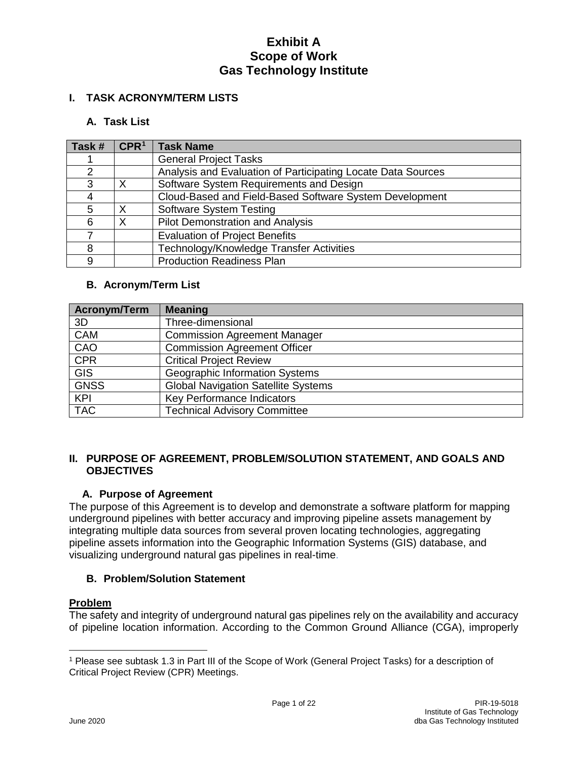## **I. TASK ACRONYM/TERM LISTS**

## **A. Task List**

| Task # | CPR <sup>1</sup> | <b>Task Name</b>                                             |
|--------|------------------|--------------------------------------------------------------|
|        |                  | <b>General Project Tasks</b>                                 |
|        |                  | Analysis and Evaluation of Participating Locate Data Sources |
| 3      | Χ                | Software System Requirements and Design                      |
| 4      |                  | Cloud-Based and Field-Based Software System Development      |
| 5      | $\times$         | <b>Software System Testing</b>                               |
| 6      | Χ                | <b>Pilot Demonstration and Analysis</b>                      |
|        |                  | <b>Evaluation of Project Benefits</b>                        |
| 8      |                  | Technology/Knowledge Transfer Activities                     |
| 9      |                  | <b>Production Readiness Plan</b>                             |

## **B. Acronym/Term List**

| <b>Acronym/Term</b> | <b>Meaning</b>                             |
|---------------------|--------------------------------------------|
| 3D                  | Three-dimensional                          |
| <b>CAM</b>          | <b>Commission Agreement Manager</b>        |
| CAO                 | <b>Commission Agreement Officer</b>        |
| <b>CPR</b>          | <b>Critical Project Review</b>             |
| <b>GIS</b>          | Geographic Information Systems             |
| <b>GNSS</b>         | <b>Global Navigation Satellite Systems</b> |
| <b>KPI</b>          | Key Performance Indicators                 |
| <b>TAC</b>          | <b>Technical Advisory Committee</b>        |

#### **II. PURPOSE OF AGREEMENT, PROBLEM/SOLUTION STATEMENT, AND GOALS AND OBJECTIVES**

### **A. Purpose of Agreement**

The purpose of this Agreement is to develop and demonstrate a software platform for mapping underground pipelines with better accuracy and improving pipeline assets management by integrating multiple data sources from several proven locating technologies, aggregating pipeline assets information into the Geographic Information Systems (GIS) database, and visualizing underground natural gas pipelines in real-time.

## **B. Problem/Solution Statement**

### **Problem**

The safety and integrity of underground natural gas pipelines rely on the availability and accuracy of pipeline location information. According to the Common Ground Alliance (CGA), improperly

<span id="page-3-0"></span> $\overline{a}$ <sup>1</sup> Please see subtask 1.3 in Part III of the Scope of Work (General Project Tasks) for a description of Critical Project Review (CPR) Meetings.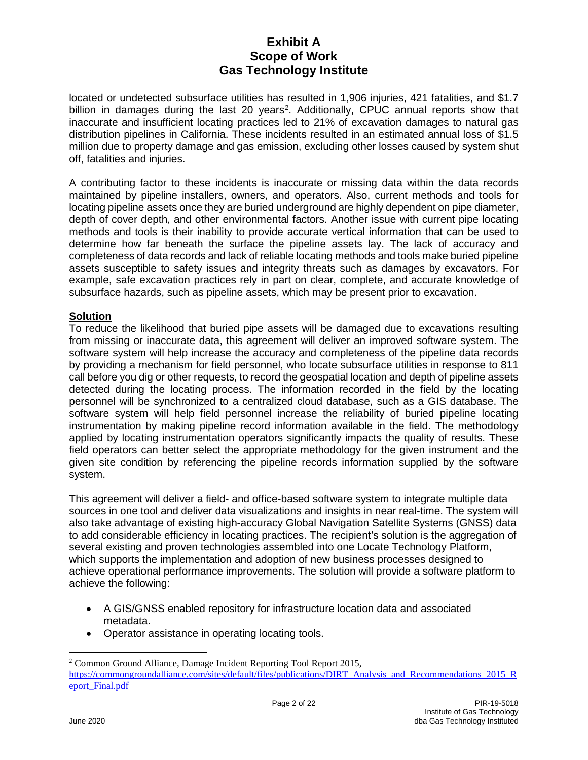located or undetected subsurface utilities has resulted in 1,906 injuries, 421 fatalities, and \$1.7 billion in damages during the last [2](#page-4-0)0 years<sup>2</sup>. Additionally, CPUC annual reports show that inaccurate and insufficient locating practices led to 21% of excavation damages to natural gas distribution pipelines in California. These incidents resulted in an estimated annual loss of \$1.5 million due to property damage and gas emission, excluding other losses caused by system shut off, fatalities and injuries.

A contributing factor to these incidents is inaccurate or missing data within the data records maintained by pipeline installers, owners, and operators. Also, current methods and tools for locating pipeline assets once they are buried underground are highly dependent on pipe diameter, depth of cover depth, and other environmental factors. Another issue with current pipe locating methods and tools is their inability to provide accurate vertical information that can be used to determine how far beneath the surface the pipeline assets lay. The lack of accuracy and completeness of data records and lack of reliable locating methods and tools make buried pipeline assets susceptible to safety issues and integrity threats such as damages by excavators. For example, safe excavation practices rely in part on clear, complete, and accurate knowledge of subsurface hazards, such as pipeline assets, which may be present prior to excavation.

### **Solution**

To reduce the likelihood that buried pipe assets will be damaged due to excavations resulting from missing or inaccurate data, this agreement will deliver an improved software system. The software system will help increase the accuracy and completeness of the pipeline data records by providing a mechanism for field personnel, who locate subsurface utilities in response to 811 call before you dig or other requests, to record the geospatial location and depth of pipeline assets detected during the locating process. The information recorded in the field by the locating personnel will be synchronized to a centralized cloud database, such as a GIS database. The software system will help field personnel increase the reliability of buried pipeline locating instrumentation by making pipeline record information available in the field. The methodology applied by locating instrumentation operators significantly impacts the quality of results. These field operators can better select the appropriate methodology for the given instrument and the given site condition by referencing the pipeline records information supplied by the software system.

This agreement will deliver a field- and office-based software system to integrate multiple data sources in one tool and deliver data visualizations and insights in near real-time. The system will also take advantage of existing high-accuracy Global Navigation Satellite Systems (GNSS) data to add considerable efficiency in locating practices. The recipient's solution is the aggregation of several existing and proven technologies assembled into one Locate Technology Platform, which supports the implementation and adoption of new business processes designed to achieve operational performance improvements. The solution will provide a software platform to achieve the following:

- A GIS/GNSS enabled repository for infrastructure location data and associated metadata.
- Operator assistance in operating locating tools.

<span id="page-4-0"></span><sup>&</sup>lt;sup>2</sup> Common Ground Alliance, Damage Incident Reporting Tool Report 2015, [https://commongroundalliance.com/sites/default/files/publications/DIRT\\_Analysis\\_and\\_Recommendations\\_2015\\_R](https://commongroundalliance.com/sites/default/files/publications/DIRT_Analysis_and_Recommendations_2015_Report_Final.pdf) [eport\\_Final.pdf](https://commongroundalliance.com/sites/default/files/publications/DIRT_Analysis_and_Recommendations_2015_Report_Final.pdf)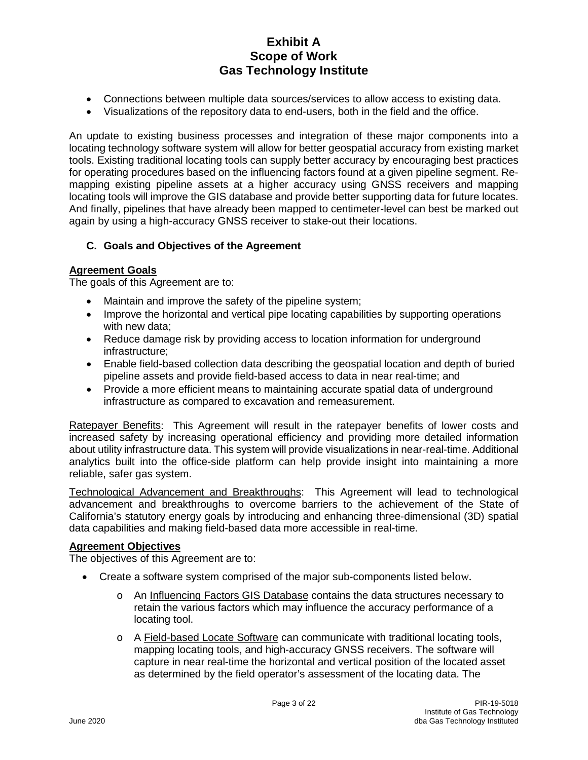- Connections between multiple data sources/services to allow access to existing data.
- Visualizations of the repository data to end-users, both in the field and the office.

An update to existing business processes and integration of these major components into a locating technology software system will allow for better geospatial accuracy from existing market tools. Existing traditional locating tools can supply better accuracy by encouraging best practices for operating procedures based on the influencing factors found at a given pipeline segment. Remapping existing pipeline assets at a higher accuracy using GNSS receivers and mapping locating tools will improve the GIS database and provide better supporting data for future locates. And finally, pipelines that have already been mapped to centimeter-level can best be marked out again by using a high-accuracy GNSS receiver to stake-out their locations.

## **C. Goals and Objectives of the Agreement**

### **Agreement Goals**

The goals of this Agreement are to:

- Maintain and improve the safety of the pipeline system;
- Improve the horizontal and vertical pipe locating capabilities by supporting operations with new data;
- Reduce damage risk by providing access to location information for underground infrastructure;
- Enable field-based collection data describing the geospatial location and depth of buried pipeline assets and provide field-based access to data in near real-time; and
- Provide a more efficient means to maintaining accurate spatial data of underground infrastructure as compared to excavation and remeasurement.

Ratepayer Benefits: This Agreement will result in the ratepayer benefits of lower costs and increased safety by increasing operational efficiency and providing more detailed information about utility infrastructure data. This system will provide visualizations in near-real-time. Additional analytics built into the office-side platform can help provide insight into maintaining a more reliable, safer gas system.

Technological Advancement and Breakthroughs: This Agreement will lead to technological advancement and breakthroughs to overcome barriers to the achievement of the State of California's statutory energy goals by introducing and enhancing three-dimensional (3D) spatial data capabilities and making field-based data more accessible in real-time.

### **Agreement Objectives**

The objectives of this Agreement are to:

- Create a software system comprised of the major sub-components listed below*.*
	- o An Influencing Factors GIS Database contains the data structures necessary to retain the various factors which may influence the accuracy performance of a locating tool.
	- o A Field-based Locate Software can communicate with traditional locating tools, mapping locating tools, and high-accuracy GNSS receivers. The software will capture in near real-time the horizontal and vertical position of the located asset as determined by the field operator's assessment of the locating data. The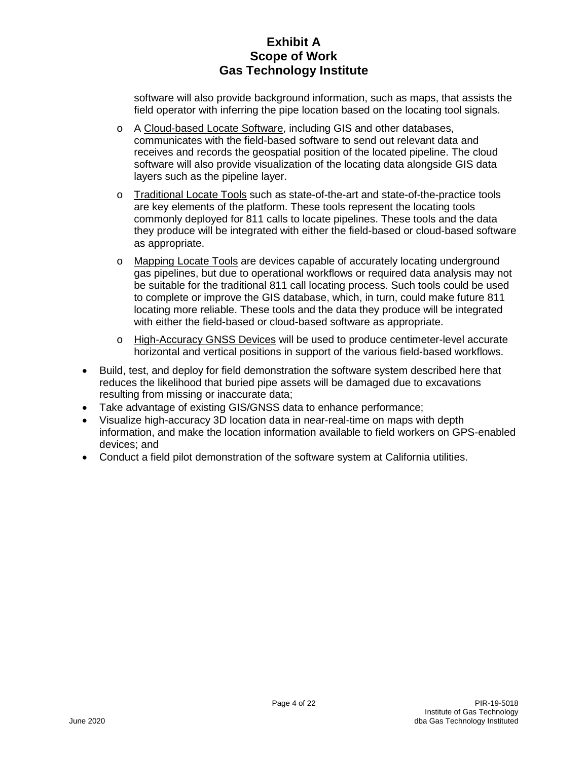software will also provide background information, such as maps, that assists the field operator with inferring the pipe location based on the locating tool signals.

- o A Cloud-based Locate Software, including GIS and other databases, communicates with the field-based software to send out relevant data and receives and records the geospatial position of the located pipeline. The cloud software will also provide visualization of the locating data alongside GIS data layers such as the pipeline layer.
- o Traditional Locate Tools such as state-of-the-art and state-of-the-practice tools are key elements of the platform. These tools represent the locating tools commonly deployed for 811 calls to locate pipelines. These tools and the data they produce will be integrated with either the field-based or cloud-based software as appropriate.
- o Mapping Locate Tools are devices capable of accurately locating underground gas pipelines, but due to operational workflows or required data analysis may not be suitable for the traditional 811 call locating process. Such tools could be used to complete or improve the GIS database, which, in turn, could make future 811 locating more reliable. These tools and the data they produce will be integrated with either the field-based or cloud-based software as appropriate.
- o High-Accuracy GNSS Devices will be used to produce centimeter-level accurate horizontal and vertical positions in support of the various field-based workflows.
- Build, test, and deploy for field demonstration the software system described here that reduces the likelihood that buried pipe assets will be damaged due to excavations resulting from missing or inaccurate data;
- Take advantage of existing GIS/GNSS data to enhance performance;
- Visualize high-accuracy 3D location data in near-real-time on maps with depth information, and make the location information available to field workers on GPS-enabled devices; and
- Conduct a field pilot demonstration of the software system at California utilities.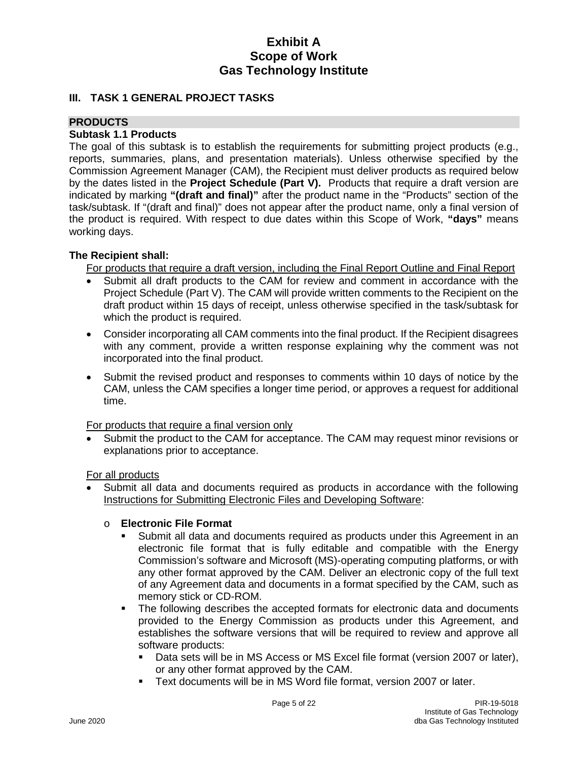#### **III. TASK 1 GENERAL PROJECT TASKS**

## **PRODUCTS**

#### **Subtask 1.1 Products**

The goal of this subtask is to establish the requirements for submitting project products (e.g., reports, summaries, plans, and presentation materials). Unless otherwise specified by the Commission Agreement Manager (CAM), the Recipient must deliver products as required below by the dates listed in the **Project Schedule (Part V).** Products that require a draft version are indicated by marking **"(draft and final)"** after the product name in the "Products" section of the task/subtask. If "(draft and final)" does not appear after the product name, only a final version of the product is required. With respect to due dates within this Scope of Work, **"days"** means working days.

#### **The Recipient shall:**

For products that require a draft version, including the Final Report Outline and Final Report

- Submit all draft products to the CAM for review and comment in accordance with the Project Schedule (Part V). The CAM will provide written comments to the Recipient on the draft product within 15 days of receipt, unless otherwise specified in the task/subtask for which the product is required.
- Consider incorporating all CAM comments into the final product. If the Recipient disagrees with any comment, provide a written response explaining why the comment was not incorporated into the final product.
- Submit the revised product and responses to comments within 10 days of notice by the CAM, unless the CAM specifies a longer time period, or approves a request for additional time.

For products that require a final version only

Submit the product to the CAM for acceptance. The CAM may request minor revisions or explanations prior to acceptance.

For all products

• Submit all data and documents required as products in accordance with the following Instructions for Submitting Electronic Files and Developing Software:

#### o **Electronic File Format**

- Submit all data and documents required as products under this Agreement in an electronic file format that is fully editable and compatible with the Energy Commission's software and Microsoft (MS)-operating computing platforms, or with any other format approved by the CAM. Deliver an electronic copy of the full text of any Agreement data and documents in a format specified by the CAM, such as memory stick or CD-ROM.
- The following describes the accepted formats for electronic data and documents provided to the Energy Commission as products under this Agreement, and establishes the software versions that will be required to review and approve all software products:
	- Data sets will be in MS Access or MS Excel file format (version 2007 or later), or any other format approved by the CAM.
	- Text documents will be in MS Word file format, version 2007 or later.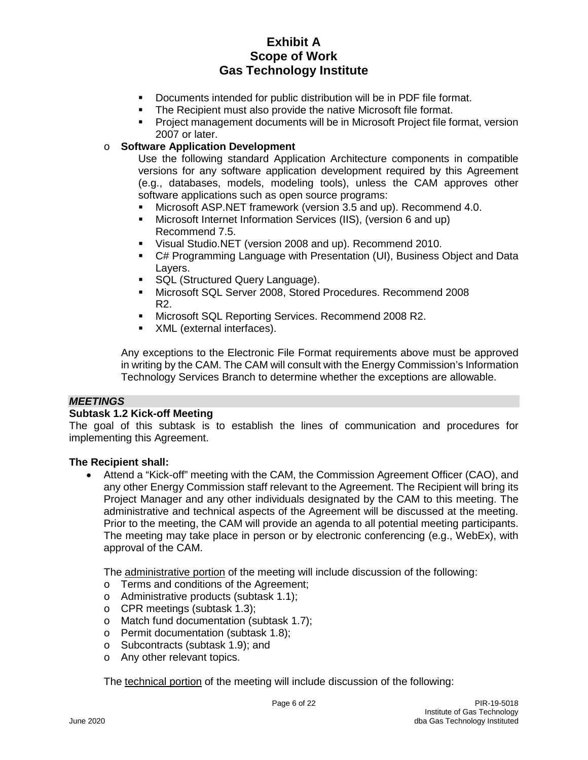- Documents intended for public distribution will be in PDF file format.
- **The Recipient must also provide the native Microsoft file format.**
- Project management documents will be in Microsoft Project file format, version 2007 or later.

### o **Software Application Development**

Use the following standard Application Architecture components in compatible versions for any software application development required by this Agreement (e.g., databases, models, modeling tools), unless the CAM approves other software applications such as open source programs:

- Microsoft ASP.NET framework (version 3.5 and up). Recommend 4.0.
- Microsoft Internet Information Services (IIS), (version 6 and up) Recommend 7.5.
- Visual Studio.NET (version 2008 and up). Recommend 2010.
- C# Programming Language with Presentation (UI), Business Object and Data Layers.
- SQL (Structured Query Language).
- Microsoft SQL Server 2008, Stored Procedures. Recommend 2008 R2.
- **Microsoft SQL Reporting Services. Recommend 2008 R2.**
- **XML** (external interfaces).

Any exceptions to the Electronic File Format requirements above must be approved in writing by the CAM. The CAM will consult with the Energy Commission's Information Technology Services Branch to determine whether the exceptions are allowable.

#### *MEETINGS*

#### **Subtask 1.2 Kick-off Meeting**

The goal of this subtask is to establish the lines of communication and procedures for implementing this Agreement.

#### **The Recipient shall:**

• Attend a "Kick-off" meeting with the CAM, the Commission Agreement Officer (CAO), and any other Energy Commission staff relevant to the Agreement. The Recipient will bring its Project Manager and any other individuals designated by the CAM to this meeting. The administrative and technical aspects of the Agreement will be discussed at the meeting. Prior to the meeting, the CAM will provide an agenda to all potential meeting participants. The meeting may take place in person or by electronic conferencing (e.g., WebEx), with approval of the CAM.

The administrative portion of the meeting will include discussion of the following:

- o Terms and conditions of the Agreement;
- o Administrative products (subtask 1.1);
- o CPR meetings (subtask 1.3);
- o Match fund documentation (subtask 1.7);
- o Permit documentation (subtask 1.8);
- o Subcontracts (subtask 1.9); and
- o Any other relevant topics.

The technical portion of the meeting will include discussion of the following: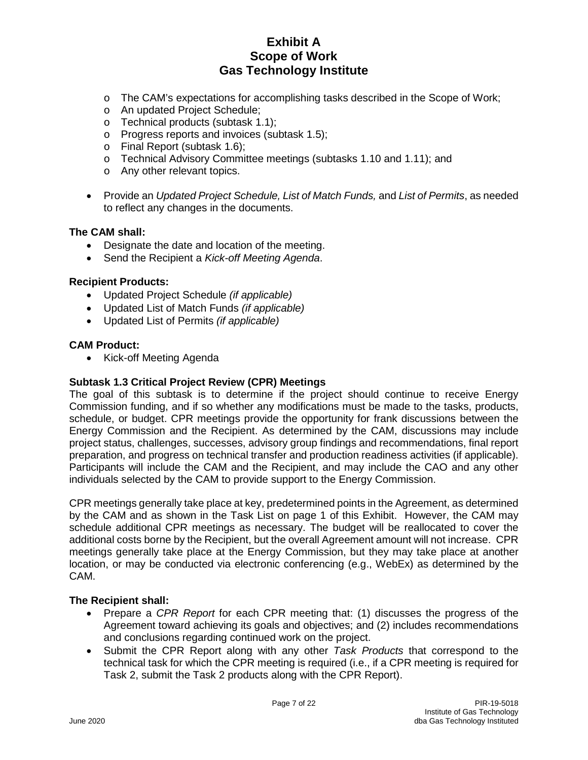- o The CAM's expectations for accomplishing tasks described in the Scope of Work;
- o An updated Project Schedule;
- o Technical products (subtask 1.1);
- o Progress reports and invoices (subtask 1.5);
- o Final Report (subtask 1.6);
- o Technical Advisory Committee meetings (subtasks 1.10 and 1.11); and
- o Any other relevant topics.
- Provide an *Updated Project Schedule, List of Match Funds,* and *List of Permits*, as needed to reflect any changes in the documents.

#### **The CAM shall:**

- Designate the date and location of the meeting.
- Send the Recipient a *Kick-off Meeting Agenda*.

#### **Recipient Products:**

- Updated Project Schedule *(if applicable)*
- Updated List of Match Funds *(if applicable)*
- Updated List of Permits *(if applicable)*

#### **CAM Product:**

• Kick-off Meeting Agenda

#### **Subtask 1.3 Critical Project Review (CPR) Meetings**

The goal of this subtask is to determine if the project should continue to receive Energy Commission funding, and if so whether any modifications must be made to the tasks, products, schedule, or budget. CPR meetings provide the opportunity for frank discussions between the Energy Commission and the Recipient. As determined by the CAM, discussions may include project status, challenges, successes, advisory group findings and recommendations, final report preparation, and progress on technical transfer and production readiness activities (if applicable). Participants will include the CAM and the Recipient, and may include the CAO and any other individuals selected by the CAM to provide support to the Energy Commission.

CPR meetings generally take place at key, predetermined points in the Agreement, as determined by the CAM and as shown in the Task List on page 1 of this Exhibit. However, the CAM may schedule additional CPR meetings as necessary. The budget will be reallocated to cover the additional costs borne by the Recipient, but the overall Agreement amount will not increase. CPR meetings generally take place at the Energy Commission, but they may take place at another location, or may be conducted via electronic conferencing (e.g., WebEx) as determined by the CAM.

- Prepare a *CPR Report* for each CPR meeting that: (1) discusses the progress of the Agreement toward achieving its goals and objectives; and (2) includes recommendations and conclusions regarding continued work on the project.
- Submit the CPR Report along with any other *Task Products* that correspond to the technical task for which the CPR meeting is required (i.e., if a CPR meeting is required for Task 2, submit the Task 2 products along with the CPR Report).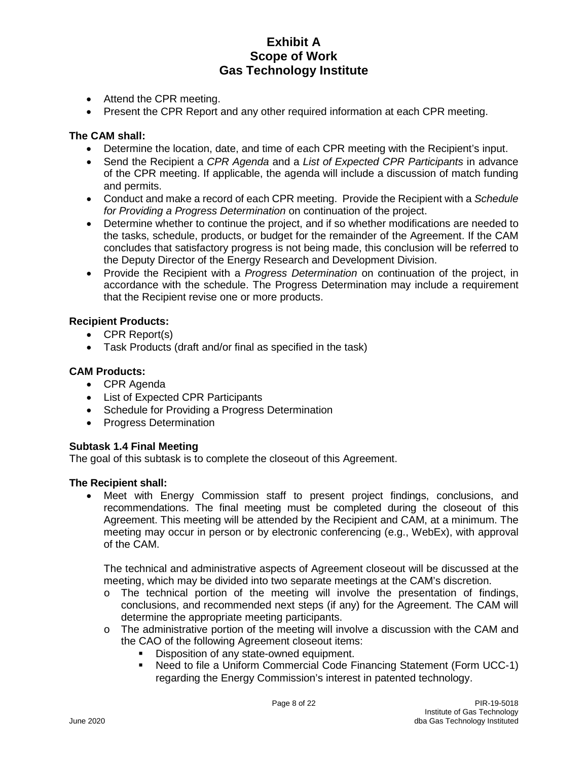- Attend the CPR meeting.
- Present the CPR Report and any other required information at each CPR meeting.

#### **The CAM shall:**

- Determine the location, date, and time of each CPR meeting with the Recipient's input.
- Send the Recipient a *CPR Agenda* and a *List of Expected CPR Participants* in advance of the CPR meeting. If applicable, the agenda will include a discussion of match funding and permits.
- Conduct and make a record of each CPR meeting. Provide the Recipient with a *Schedule for Providing a Progress Determination* on continuation of the project.
- Determine whether to continue the project, and if so whether modifications are needed to the tasks, schedule, products, or budget for the remainder of the Agreement. If the CAM concludes that satisfactory progress is not being made, this conclusion will be referred to the Deputy Director of the Energy Research and Development Division.
- Provide the Recipient with a *Progress Determination* on continuation of the project, in accordance with the schedule. The Progress Determination may include a requirement that the Recipient revise one or more products.

#### **Recipient Products:**

- CPR Report(s)
- Task Products (draft and/or final as specified in the task)

## **CAM Products:**

- CPR Agenda
- List of Expected CPR Participants
- Schedule for Providing a Progress Determination
- Progress Determination

#### **Subtask 1.4 Final Meeting**

The goal of this subtask is to complete the closeout of this Agreement.

#### **The Recipient shall:**

Meet with Energy Commission staff to present project findings, conclusions, and recommendations. The final meeting must be completed during the closeout of this Agreement. This meeting will be attended by the Recipient and CAM, at a minimum. The meeting may occur in person or by electronic conferencing (e.g., WebEx), with approval of the CAM.

The technical and administrative aspects of Agreement closeout will be discussed at the meeting, which may be divided into two separate meetings at the CAM's discretion.

- $\circ$  The technical portion of the meeting will involve the presentation of findings, conclusions, and recommended next steps (if any) for the Agreement. The CAM will determine the appropriate meeting participants.
- $\circ$  The administrative portion of the meeting will involve a discussion with the CAM and the CAO of the following Agreement closeout items:
	- Disposition of any state-owned equipment.
	- Need to file a Uniform Commercial Code Financing Statement (Form UCC-1) regarding the Energy Commission's interest in patented technology.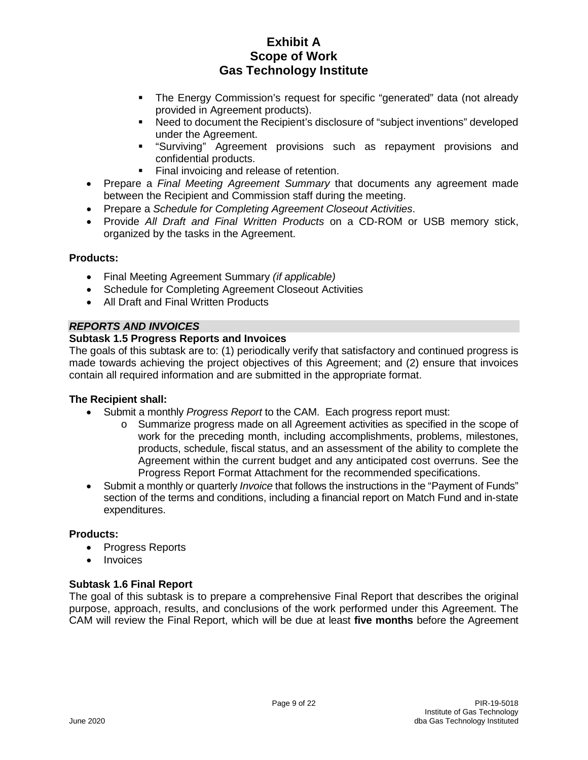- The Energy Commission's request for specific "generated" data (not already provided in Agreement products).
- Need to document the Recipient's disclosure of "subject inventions" developed under the Agreement.
- **EXT** "Surviving" Agreement provisions such as repayment provisions and confidential products.
- Final invoicing and release of retention.
- Prepare a *Final Meeting Agreement Summary* that documents any agreement made between the Recipient and Commission staff during the meeting.
- Prepare a *Schedule for Completing Agreement Closeout Activities*.
- Provide *All Draft and Final Written Products* on a CD-ROM or USB memory stick, organized by the tasks in the Agreement.

### **Products:**

- Final Meeting Agreement Summary *(if applicable)*
- Schedule for Completing Agreement Closeout Activities
- All Draft and Final Written Products

### *REPORTS AND INVOICES*

### **Subtask 1.5 Progress Reports and Invoices**

The goals of this subtask are to: (1) periodically verify that satisfactory and continued progress is made towards achieving the project objectives of this Agreement; and (2) ensure that invoices contain all required information and are submitted in the appropriate format.

### **The Recipient shall:**

- Submit a monthly *Progress Report* to the CAM. Each progress report must:
	- o Summarize progress made on all Agreement activities as specified in the scope of work for the preceding month, including accomplishments, problems, milestones, products, schedule, fiscal status, and an assessment of the ability to complete the Agreement within the current budget and any anticipated cost overruns. See the Progress Report Format Attachment for the recommended specifications.
- Submit a monthly or quarterly *Invoice* that follows the instructions in the "Payment of Funds" section of the terms and conditions, including a financial report on Match Fund and in-state expenditures.

### **Products:**

- Progress Reports
- **Invoices**

#### **Subtask 1.6 Final Report**

The goal of this subtask is to prepare a comprehensive Final Report that describes the original purpose, approach, results, and conclusions of the work performed under this Agreement. The CAM will review the Final Report, which will be due at least **five months** before the Agreement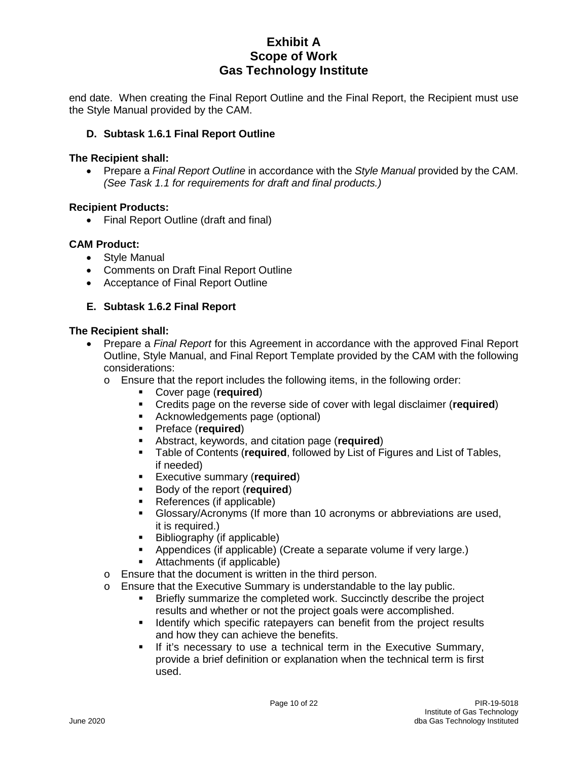end date. When creating the Final Report Outline and the Final Report, the Recipient must use the Style Manual provided by the CAM.

### **D. Subtask 1.6.1 Final Report Outline**

#### **The Recipient shall:**

• Prepare a *Final Report Outline* in accordance with the *Style Manual* provided by the CAM. *(See Task 1.1 for requirements for draft and final products.)*

#### **Recipient Products:**

• Final Report Outline (draft and final)

#### **CAM Product:**

- Style Manual
- Comments on Draft Final Report Outline
- Acceptance of Final Report Outline

### **E. Subtask 1.6.2 Final Report**

- Prepare a *Final Report* for this Agreement in accordance with the approved Final Report Outline, Style Manual, and Final Report Template provided by the CAM with the following considerations:
	- o Ensure that the report includes the following items, in the following order:
		- Cover page (**required**)
		- Credits page on the reverse side of cover with legal disclaimer (**required**)
		- Acknowledgements page (optional)
		- Preface (**required**)
		- **Abstract, keywords, and citation page (required)**<br>**Example of Contents (required, followed by List of E**
		- Table of Contents (**required**, followed by List of Figures and List of Tables, if needed)
		- **Executive summary (required)**
		- **Body of the report (required)**
		- References (if applicable)
		- Glossary/Acronyms (If more than 10 acronyms or abbreviations are used, it is required.)
		- Bibliography (if applicable)
		- Appendices (if applicable) (Create a separate volume if very large.)
		- Attachments (if applicable)
	- o Ensure that the document is written in the third person.
	- o Ensure that the Executive Summary is understandable to the lay public.
		- Briefly summarize the completed work. Succinctly describe the project results and whether or not the project goals were accomplished.
		- **If Identify which specific ratepayers can benefit from the project results** and how they can achieve the benefits.
		- If it's necessary to use a technical term in the Executive Summary, provide a brief definition or explanation when the technical term is first used.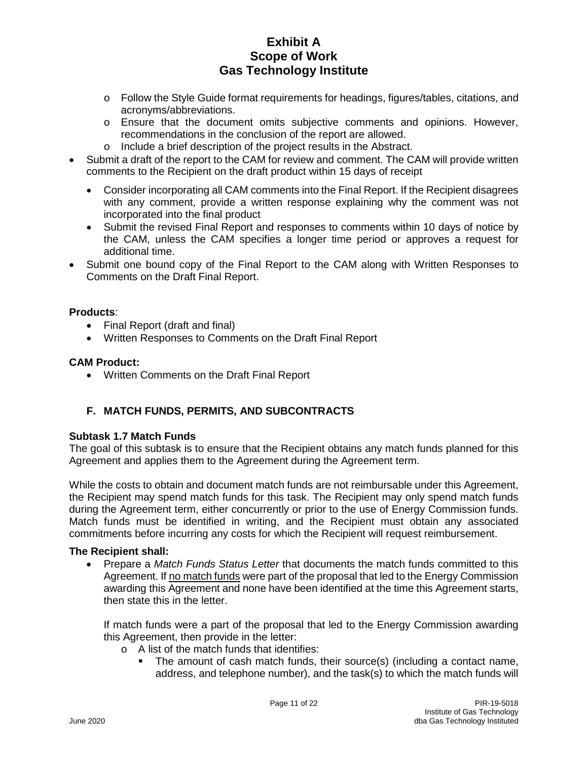- o Follow the Style Guide format requirements for headings, figures/tables, citations, and acronyms/abbreviations.
- o Ensure that the document omits subjective comments and opinions. However, recommendations in the conclusion of the report are allowed.
- o Include a brief description of the project results in the Abstract.
- Submit a draft of the report to the CAM for review and comment. The CAM will provide written comments to the Recipient on the draft product within 15 days of receipt
	- Consider incorporating all CAM comments into the Final Report. If the Recipient disagrees with any comment, provide a written response explaining why the comment was not incorporated into the final product
	- Submit the revised Final Report and responses to comments within 10 days of notice by the CAM, unless the CAM specifies a longer time period or approves a request for additional time.
- Submit one bound copy of the Final Report to the CAM along with Written Responses to Comments on the Draft Final Report.

### **Products**:

- Final Report (draft and final)
- Written Responses to Comments on the Draft Final Report

#### **CAM Product:**

• Written Comments on the Draft Final Report

### **F. MATCH FUNDS, PERMITS, AND SUBCONTRACTS**

#### **Subtask 1.7 Match Funds**

The goal of this subtask is to ensure that the Recipient obtains any match funds planned for this Agreement and applies them to the Agreement during the Agreement term.

While the costs to obtain and document match funds are not reimbursable under this Agreement, the Recipient may spend match funds for this task. The Recipient may only spend match funds during the Agreement term, either concurrently or prior to the use of Energy Commission funds. Match funds must be identified in writing, and the Recipient must obtain any associated commitments before incurring any costs for which the Recipient will request reimbursement.

#### **The Recipient shall:**

• Prepare a *Match Funds Status Letter* that documents the match funds committed to this Agreement. If no match funds were part of the proposal that led to the Energy Commission awarding this Agreement and none have been identified at the time this Agreement starts, then state this in the letter.

If match funds were a part of the proposal that led to the Energy Commission awarding this Agreement, then provide in the letter:

- o A list of the match funds that identifies:
	- The amount of cash match funds, their source(s) (including a contact name, address, and telephone number), and the task(s) to which the match funds will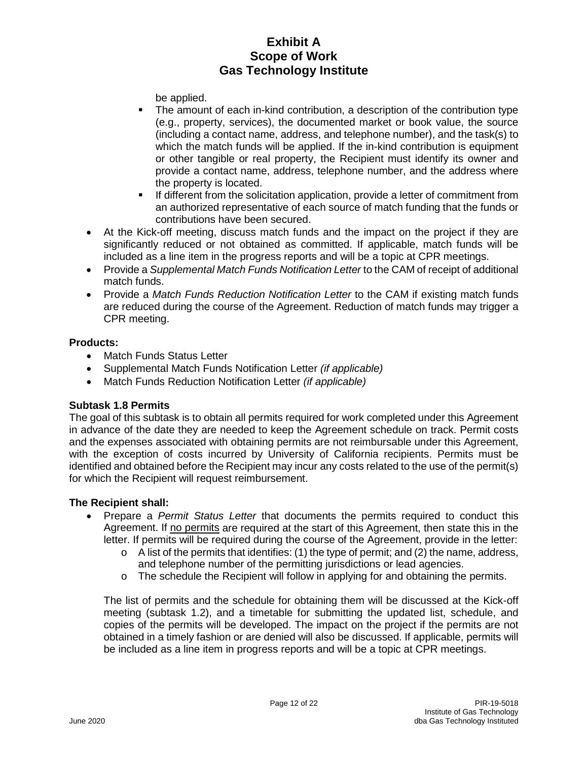be applied.

- The amount of each in-kind contribution, a description of the contribution type (e.g., property, services), the documented market or book value, the source (including a contact name, address, and telephone number), and the task(s) to which the match funds will be applied. If the in-kind contribution is equipment or other tangible or real property, the Recipient must identify its owner and provide a contact name, address, telephone number, and the address where the property is located.
- If different from the solicitation application, provide a letter of commitment from an authorized representative of each source of match funding that the funds or contributions have been secured.
- At the Kick-off meeting, discuss match funds and the impact on the project if they are significantly reduced or not obtained as committed. If applicable, match funds will be included as a line item in the progress reports and will be a topic at CPR meetings.
- Provide a *Supplemental Match Funds Notification Letter* to the CAM of receipt of additional match funds.
- Provide a *Match Funds Reduction Notification Letter* to the CAM if existing match funds are reduced during the course of the Agreement. Reduction of match funds may trigger a CPR meeting.

### **Products:**

- Match Funds Status Letter
- Supplemental Match Funds Notification Letter *(if applicable)*
- Match Funds Reduction Notification Letter *(if applicable)*

### **Subtask 1.8 Permits**

The goal of this subtask is to obtain all permits required for work completed under this Agreement in advance of the date they are needed to keep the Agreement schedule on track. Permit costs and the expenses associated with obtaining permits are not reimbursable under this Agreement, with the exception of costs incurred by University of California recipients. Permits must be identified and obtained before the Recipient may incur any costs related to the use of the permit(s) for which the Recipient will request reimbursement.

### **The Recipient shall:**

- Prepare a *Permit Status Letter* that documents the permits required to conduct this Agreement. If no permits are required at the start of this Agreement, then state this in the letter. If permits will be required during the course of the Agreement, provide in the letter:
	- $\circ$  A list of the permits that identifies: (1) the type of permit; and (2) the name, address, and telephone number of the permitting jurisdictions or lead agencies.
	- o The schedule the Recipient will follow in applying for and obtaining the permits.

The list of permits and the schedule for obtaining them will be discussed at the Kick-off meeting (subtask 1.2), and a timetable for submitting the updated list, schedule, and copies of the permits will be developed. The impact on the project if the permits are not obtained in a timely fashion or are denied will also be discussed. If applicable, permits will be included as a line item in progress reports and will be a topic at CPR meetings.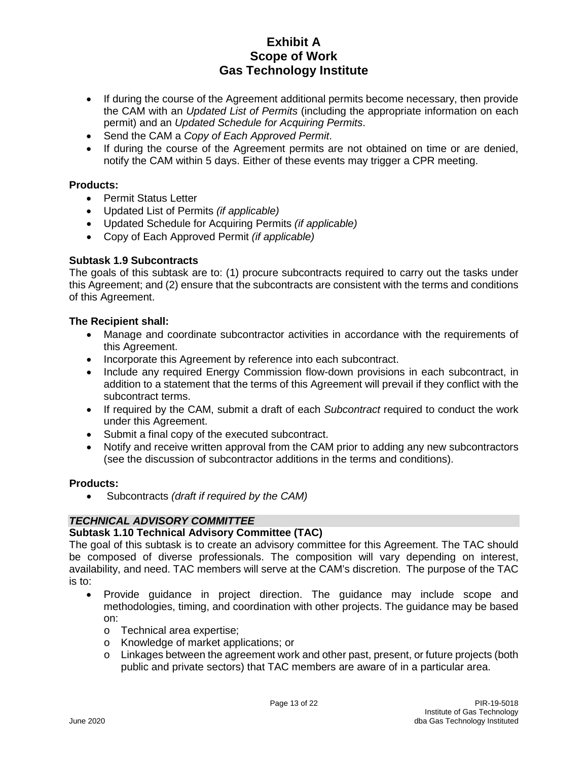- If during the course of the Agreement additional permits become necessary, then provide the CAM with an *Updated List of Permits* (including the appropriate information on each permit) and an *Updated Schedule for Acquiring Permits*.
- Send the CAM a *Copy of Each Approved Permit*.
- If during the course of the Agreement permits are not obtained on time or are denied, notify the CAM within 5 days. Either of these events may trigger a CPR meeting.

### **Products:**

- Permit Status Letter
- Updated List of Permits *(if applicable)*
- Updated Schedule for Acquiring Permits *(if applicable)*
- Copy of Each Approved Permit *(if applicable)*

### **Subtask 1.9 Subcontracts**

The goals of this subtask are to: (1) procure subcontracts required to carry out the tasks under this Agreement; and (2) ensure that the subcontracts are consistent with the terms and conditions of this Agreement.

#### **The Recipient shall:**

- Manage and coordinate subcontractor activities in accordance with the requirements of this Agreement.
- Incorporate this Agreement by reference into each subcontract.
- Include any required Energy Commission flow-down provisions in each subcontract, in addition to a statement that the terms of this Agreement will prevail if they conflict with the subcontract terms.
- If required by the CAM, submit a draft of each *Subcontract* required to conduct the work under this Agreement.
- Submit a final copy of the executed subcontract.
- Notify and receive written approval from the CAM prior to adding any new subcontractors (see the discussion of subcontractor additions in the terms and conditions).

#### **Products:**

• Subcontracts *(draft if required by the CAM)*

### *TECHNICAL ADVISORY COMMITTEE*

#### **Subtask 1.10 Technical Advisory Committee (TAC)**

The goal of this subtask is to create an advisory committee for this Agreement. The TAC should be composed of diverse professionals. The composition will vary depending on interest, availability, and need. TAC members will serve at the CAM's discretion. The purpose of the TAC is to:

- Provide guidance in project direction. The guidance may include scope and methodologies, timing, and coordination with other projects. The guidance may be based on:
	- o Technical area expertise;
	- o Knowledge of market applications; or
	- o Linkages between the agreement work and other past, present, or future projects (both public and private sectors) that TAC members are aware of in a particular area.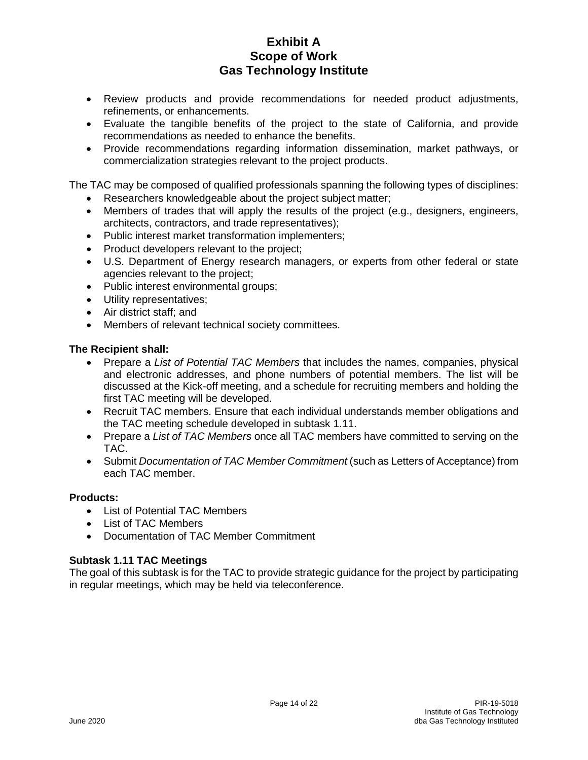- Review products and provide recommendations for needed product adjustments, refinements, or enhancements.
- Evaluate the tangible benefits of the project to the state of California, and provide recommendations as needed to enhance the benefits.
- Provide recommendations regarding information dissemination, market pathways, or commercialization strategies relevant to the project products.

The TAC may be composed of qualified professionals spanning the following types of disciplines:

- Researchers knowledgeable about the project subject matter;
- Members of trades that will apply the results of the project (e.g., designers, engineers, architects, contractors, and trade representatives);
- Public interest market transformation implementers;
- Product developers relevant to the project;
- U.S. Department of Energy research managers, or experts from other federal or state agencies relevant to the project;
- Public interest environmental groups;
- Utility representatives;
- Air district staff; and
- Members of relevant technical society committees.

### **The Recipient shall:**

- Prepare a *List of Potential TAC Members* that includes the names, companies, physical and electronic addresses, and phone numbers of potential members. The list will be discussed at the Kick-off meeting, and a schedule for recruiting members and holding the first TAC meeting will be developed.
- Recruit TAC members. Ensure that each individual understands member obligations and the TAC meeting schedule developed in subtask 1.11.
- Prepare a *List of TAC Members* once all TAC members have committed to serving on the TAC.
- Submit *Documentation of TAC Member Commitment* (such as Letters of Acceptance) from each TAC member.

### **Products:**

- List of Potential TAC Members
- List of TAC Members
- Documentation of TAC Member Commitment

### **Subtask 1.11 TAC Meetings**

The goal of this subtask is for the TAC to provide strategic guidance for the project by participating in regular meetings, which may be held via teleconference.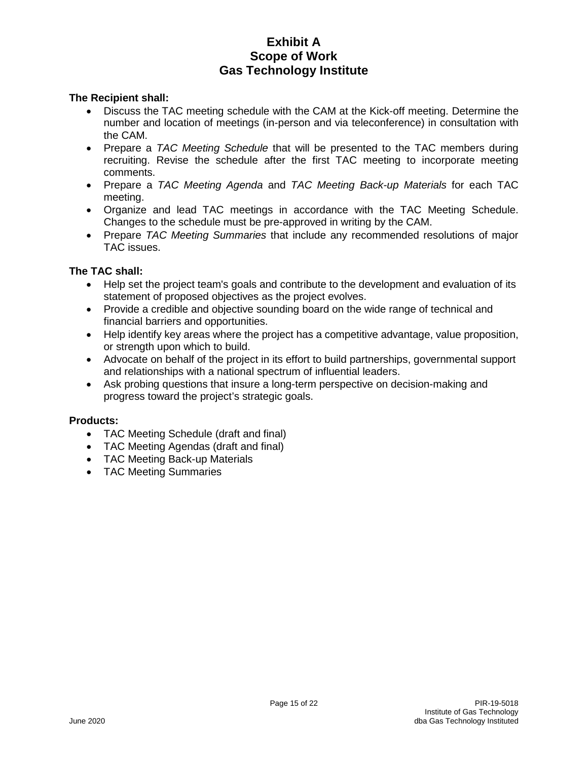### **The Recipient shall:**

- Discuss the TAC meeting schedule with the CAM at the Kick-off meeting. Determine the number and location of meetings (in-person and via teleconference) in consultation with the CAM.
- Prepare a *TAC Meeting Schedule* that will be presented to the TAC members during recruiting. Revise the schedule after the first TAC meeting to incorporate meeting comments.
- Prepare a *TAC Meeting Agenda* and *TAC Meeting Back-up Materials* for each TAC meeting.
- Organize and lead TAC meetings in accordance with the TAC Meeting Schedule. Changes to the schedule must be pre-approved in writing by the CAM.
- Prepare *TAC Meeting Summaries* that include any recommended resolutions of major TAC issues.

#### **The TAC shall:**

- Help set the project team's goals and contribute to the development and evaluation of its statement of proposed objectives as the project evolves.
- Provide a credible and objective sounding board on the wide range of technical and financial barriers and opportunities.
- Help identify key areas where the project has a competitive advantage, value proposition, or strength upon which to build.
- Advocate on behalf of the project in its effort to build partnerships, governmental support and relationships with a national spectrum of influential leaders.
- Ask probing questions that insure a long-term perspective on decision-making and progress toward the project's strategic goals.

#### **Products:**

- TAC Meeting Schedule (draft and final)
- TAC Meeting Agendas (draft and final)
- TAC Meeting Back-up Materials
- TAC Meeting Summaries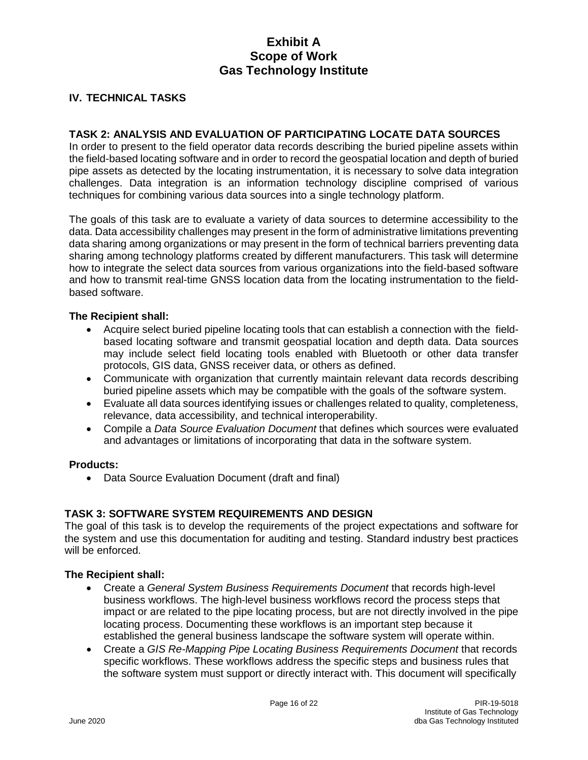### **IV. TECHNICAL TASKS**

#### **TASK 2: ANALYSIS AND EVALUATION OF PARTICIPATING LOCATE DATA SOURCES**

In order to present to the field operator data records describing the buried pipeline assets within the field-based locating software and in order to record the geospatial location and depth of buried pipe assets as detected by the locating instrumentation, it is necessary to solve data integration challenges. Data integration is an information technology discipline comprised of various techniques for combining various data sources into a single technology platform.

The goals of this task are to evaluate a variety of data sources to determine accessibility to the data. Data accessibility challenges may present in the form of administrative limitations preventing data sharing among organizations or may present in the form of technical barriers preventing data sharing among technology platforms created by different manufacturers. This task will determine how to integrate the select data sources from various organizations into the field-based software and how to transmit real-time GNSS location data from the locating instrumentation to the fieldbased software.

#### **The Recipient shall:**

- Acquire select buried pipeline locating tools that can establish a connection with the fieldbased locating software and transmit geospatial location and depth data. Data sources may include select field locating tools enabled with Bluetooth or other data transfer protocols, GIS data, GNSS receiver data, or others as defined.
- Communicate with organization that currently maintain relevant data records describing buried pipeline assets which may be compatible with the goals of the software system.
- Evaluate all data sources identifying issues or challenges related to quality, completeness, relevance, data accessibility, and technical interoperability.
- Compile a *Data Source Evaluation Document* that defines which sources were evaluated and advantages or limitations of incorporating that data in the software system.

#### **Products:**

• Data Source Evaluation Document (draft and final)

#### **TASK 3: SOFTWARE SYSTEM REQUIREMENTS AND DESIGN**

The goal of this task is to develop the requirements of the project expectations and software for the system and use this documentation for auditing and testing. Standard industry best practices will be enforced.

- Create a *General System Business Requirements Document* that records high-level business workflows. The high-level business workflows record the process steps that impact or are related to the pipe locating process, but are not directly involved in the pipe locating process. Documenting these workflows is an important step because it established the general business landscape the software system will operate within.
- Create a *GIS Re-Mapping Pipe Locating Business Requirements Document* that records specific workflows. These workflows address the specific steps and business rules that the software system must support or directly interact with. This document will specifically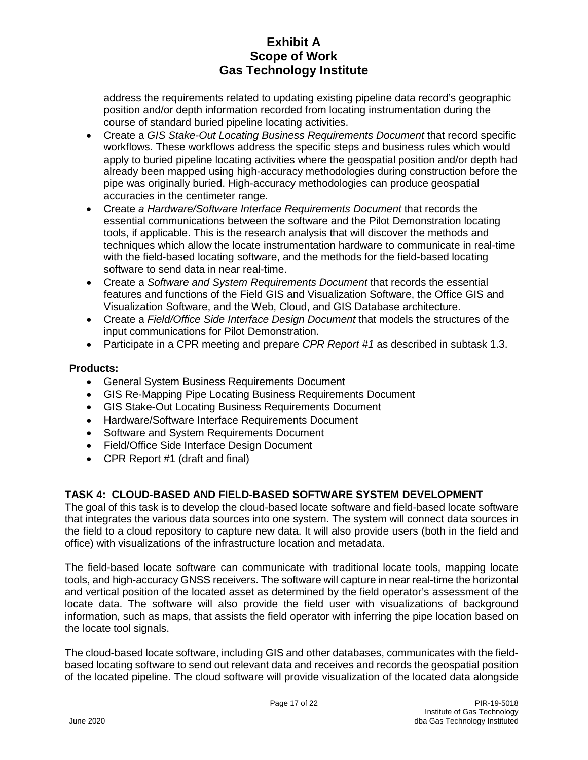address the requirements related to updating existing pipeline data record's geographic position and/or depth information recorded from locating instrumentation during the course of standard buried pipeline locating activities.

- Create a *GIS Stake-Out Locating Business Requirements Document* that record specific workflows. These workflows address the specific steps and business rules which would apply to buried pipeline locating activities where the geospatial position and/or depth had already been mapped using high-accuracy methodologies during construction before the pipe was originally buried. High-accuracy methodologies can produce geospatial accuracies in the centimeter range.
- Create *a Hardware/Software Interface Requirements Document* that records the essential communications between the software and the Pilot Demonstration locating tools, if applicable. This is the research analysis that will discover the methods and techniques which allow the locate instrumentation hardware to communicate in real-time with the field-based locating software, and the methods for the field-based locating software to send data in near real-time.
- Create a *Software and System Requirements Document* that records the essential features and functions of the Field GIS and Visualization Software, the Office GIS and Visualization Software, and the Web, Cloud, and GIS Database architecture.
- Create a *Field/Office Side Interface Design Document* that models the structures of the input communications for Pilot Demonstration.
- Participate in a CPR meeting and prepare *CPR Report #1* as described in subtask 1.3.

## **Products:**

- General System Business Requirements Document
- GIS Re-Mapping Pipe Locating Business Requirements Document
- GIS Stake-Out Locating Business Requirements Document
- Hardware/Software Interface Requirements Document
- Software and System Requirements Document
- Field/Office Side Interface Design Document
- CPR Report #1 (draft and final)

### **TASK 4: CLOUD-BASED AND FIELD-BASED SOFTWARE SYSTEM DEVELOPMENT**

The goal of this task is to develop the cloud-based locate software and field-based locate software that integrates the various data sources into one system. The system will connect data sources in the field to a cloud repository to capture new data. It will also provide users (both in the field and office) with visualizations of the infrastructure location and metadata.

The field-based locate software can communicate with traditional locate tools, mapping locate tools, and high-accuracy GNSS receivers. The software will capture in near real-time the horizontal and vertical position of the located asset as determined by the field operator's assessment of the locate data. The software will also provide the field user with visualizations of background information, such as maps, that assists the field operator with inferring the pipe location based on the locate tool signals.

The cloud-based locate software, including GIS and other databases, communicates with the fieldbased locating software to send out relevant data and receives and records the geospatial position of the located pipeline. The cloud software will provide visualization of the located data alongside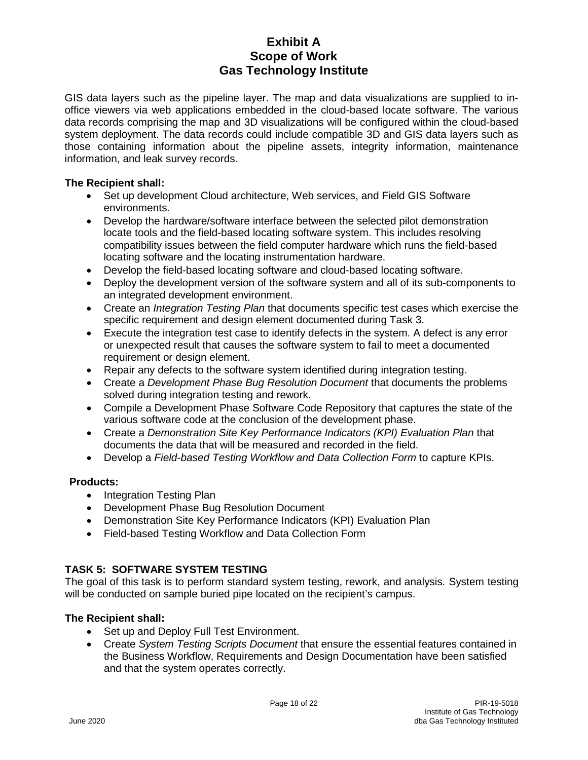GIS data layers such as the pipeline layer. The map and data visualizations are supplied to inoffice viewers via web applications embedded in the cloud-based locate software. The various data records comprising the map and 3D visualizations will be configured within the cloud-based system deployment. The data records could include compatible 3D and GIS data layers such as those containing information about the pipeline assets, integrity information, maintenance information, and leak survey records.

### **The Recipient shall:**

- Set up development Cloud architecture, Web services, and Field GIS Software environments.
- Develop the hardware/software interface between the selected pilot demonstration locate tools and the field-based locating software system. This includes resolving compatibility issues between the field computer hardware which runs the field-based locating software and the locating instrumentation hardware.
- Develop the field-based locating software and cloud-based locating software.
- Deploy the development version of the software system and all of its sub-components to an integrated development environment.
- Create an *Integration Testing Plan* that documents specific test cases which exercise the specific requirement and design element documented during Task 3.
- Execute the integration test case to identify defects in the system. A defect is any error or unexpected result that causes the software system to fail to meet a documented requirement or design element.
- Repair any defects to the software system identified during integration testing.
- Create a *Development Phase Bug Resolution Document* that documents the problems solved during integration testing and rework.
- Compile a Development Phase Software Code Repository that captures the state of the various software code at the conclusion of the development phase.
- Create a *Demonstration Site Key Performance Indicators (KPI) Evaluation Plan* that documents the data that will be measured and recorded in the field.
- Develop a *Field-based Testing Workflow and Data Collection Form* to capture KPIs.

### **Products:**

- Integration Testing Plan
- Development Phase Bug Resolution Document
- Demonstration Site Key Performance Indicators (KPI) Evaluation Plan
- Field-based Testing Workflow and Data Collection Form

## **TASK 5: SOFTWARE SYSTEM TESTING**

The goal of this task is to perform standard system testing, rework, and analysis*.* System testing will be conducted on sample buried pipe located on the recipient's campus.

- Set up and Deploy Full Test Environment.
- Create *System Testing Scripts Document* that ensure the essential features contained in the Business Workflow, Requirements and Design Documentation have been satisfied and that the system operates correctly.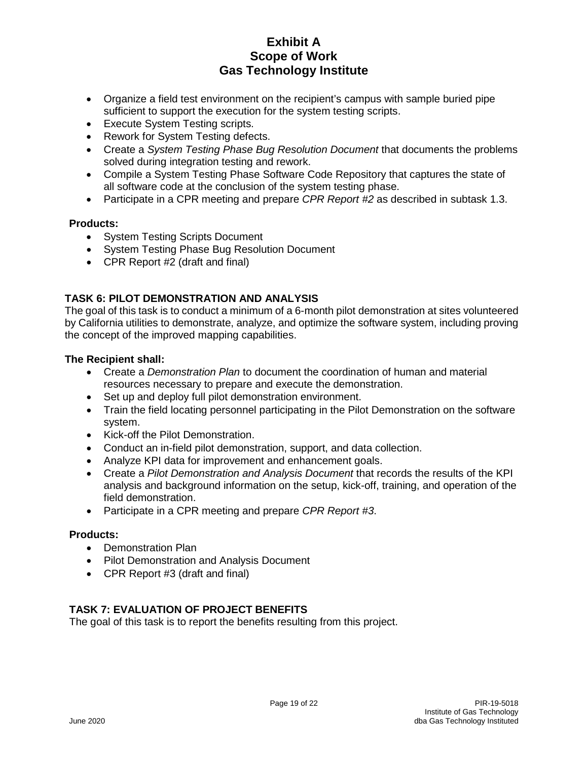- Organize a field test environment on the recipient's campus with sample buried pipe sufficient to support the execution for the system testing scripts.
- Execute System Testing scripts.
- Rework for System Testing defects.
- Create a *System Testing Phase Bug Resolution Document* that documents the problems solved during integration testing and rework.
- Compile a System Testing Phase Software Code Repository that captures the state of all software code at the conclusion of the system testing phase.
- Participate in a CPR meeting and prepare *CPR Report #2* as described in subtask 1.3.

#### **Products:**

- System Testing Scripts Document
- System Testing Phase Bug Resolution Document
- CPR Report #2 (draft and final)

## **TASK 6: PILOT DEMONSTRATION AND ANALYSIS**

The goal of this task is to conduct a minimum of a 6-month pilot demonstration at sites volunteered by California utilities to demonstrate, analyze, and optimize the software system, including proving the concept of the improved mapping capabilities.

#### **The Recipient shall:**

- Create a *Demonstration Plan* to document the coordination of human and material resources necessary to prepare and execute the demonstration.
- Set up and deploy full pilot demonstration environment.
- Train the field locating personnel participating in the Pilot Demonstration on the software system.
- Kick-off the Pilot Demonstration.
- Conduct an in-field pilot demonstration, support, and data collection.
- Analyze KPI data for improvement and enhancement goals.
- Create a *Pilot Demonstration and Analysis Document* that records the results of the KPI analysis and background information on the setup, kick-off, training, and operation of the field demonstration.
- Participate in a CPR meeting and prepare *CPR Report #3*.

#### **Products:**

- Demonstration Plan
- Pilot Demonstration and Analysis Document
- CPR Report #3 (draft and final)

### **TASK 7: EVALUATION OF PROJECT BENEFITS**

The goal of this task is to report the benefits resulting from this project.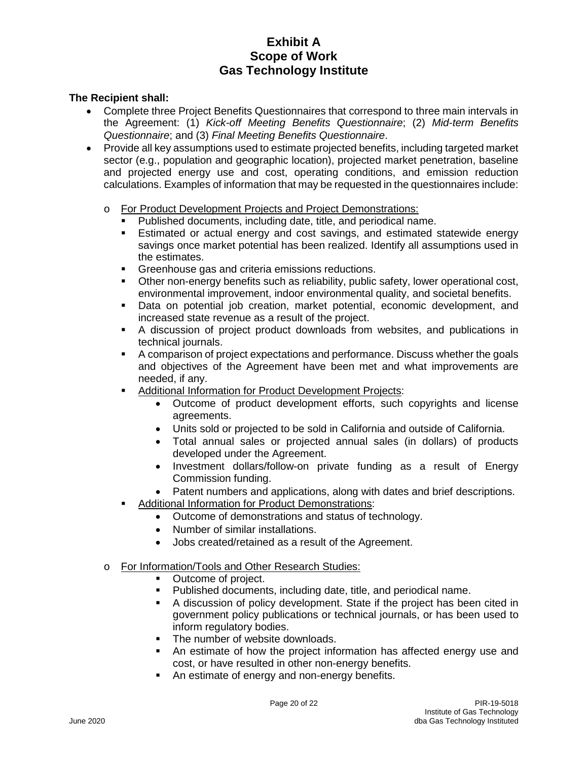- Complete three Project Benefits Questionnaires that correspond to three main intervals in the Agreement: (1) *Kick-off Meeting Benefits Questionnaire*; (2) *Mid-term Benefits Questionnaire*; and (3) *Final Meeting Benefits Questionnaire*.
- Provide all key assumptions used to estimate projected benefits, including targeted market sector (e.g., population and geographic location), projected market penetration, baseline and projected energy use and cost, operating conditions, and emission reduction calculations. Examples of information that may be requested in the questionnaires include:
	- o For Product Development Projects and Project Demonstrations:
		- Published documents, including date, title, and periodical name.<br>• Estimated or actual energy and cost savings, and estimated s
		- Estimated or actual energy and cost savings, and estimated statewide energy savings once market potential has been realized. Identify all assumptions used in the estimates.
		- **Greenhouse gas and criteria emissions reductions.**
		- Other non-energy benefits such as reliability, public safety, lower operational cost, environmental improvement, indoor environmental quality, and societal benefits.
		- Data on potential job creation, market potential, economic development, and increased state revenue as a result of the project.
		- A discussion of project product downloads from websites, and publications in technical journals.
		- A comparison of project expectations and performance. Discuss whether the goals and objectives of the Agreement have been met and what improvements are needed, if any.
		- **Additional Information for Product Development Projects:** 
			- Outcome of product development efforts, such copyrights and license agreements.
			- Units sold or projected to be sold in California and outside of California.
			- Total annual sales or projected annual sales (in dollars) of products developed under the Agreement.
			- Investment dollars/follow-on private funding as a result of Energy Commission funding.
			- Patent numbers and applications, along with dates and brief descriptions.
			- Additional Information for Product Demonstrations:
				- Outcome of demonstrations and status of technology.
				- Number of similar installations.
				- Jobs created/retained as a result of the Agreement.
	- o For Information/Tools and Other Research Studies:
		- Outcome of project.
		- Published documents, including date, title, and periodical name.
		- A discussion of policy development. State if the project has been cited in government policy publications or technical journals, or has been used to inform regulatory bodies.
		- The number of website downloads.
		- An estimate of how the project information has affected energy use and cost, or have resulted in other non-energy benefits.
		- An estimate of energy and non-energy benefits.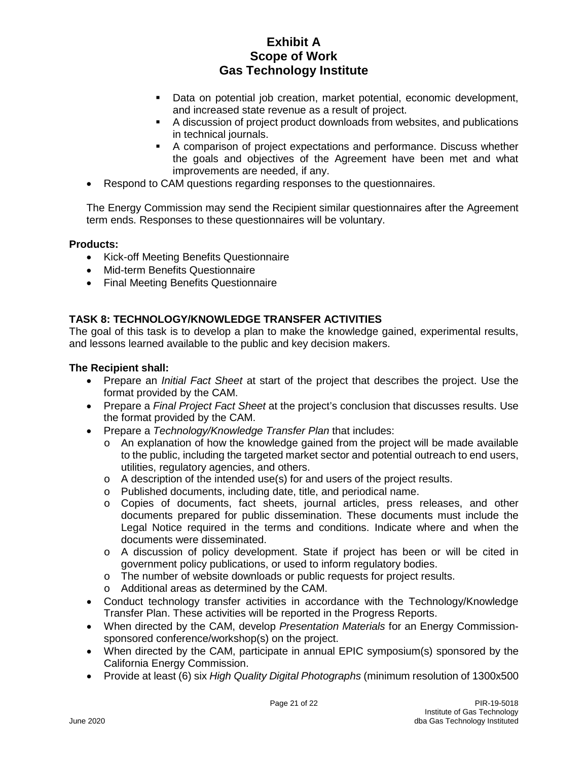- Data on potential job creation, market potential, economic development, and increased state revenue as a result of project.
- A discussion of project product downloads from websites, and publications in technical journals.
- A comparison of project expectations and performance. Discuss whether the goals and objectives of the Agreement have been met and what improvements are needed, if any.
- Respond to CAM questions regarding responses to the questionnaires.

The Energy Commission may send the Recipient similar questionnaires after the Agreement term ends. Responses to these questionnaires will be voluntary.

#### **Products:**

- Kick-off Meeting Benefits Questionnaire
- Mid-term Benefits Questionnaire
- Final Meeting Benefits Questionnaire

## **TASK 8: TECHNOLOGY/KNOWLEDGE TRANSFER ACTIVITIES**

The goal of this task is to develop a plan to make the knowledge gained, experimental results, and lessons learned available to the public and key decision makers.

- Prepare an *Initial Fact Sheet* at start of the project that describes the project. Use the format provided by the CAM.
- Prepare a *Final Project Fact Sheet* at the project's conclusion that discusses results. Use the format provided by the CAM.
- Prepare a *Technology/Knowledge Transfer Plan* that includes:
	- o An explanation of how the knowledge gained from the project will be made available to the public, including the targeted market sector and potential outreach to end users, utilities, regulatory agencies, and others.
	- $\circ$  A description of the intended use(s) for and users of the project results.
	- o Published documents, including date, title, and periodical name.
	- o Copies of documents, fact sheets, journal articles, press releases, and other documents prepared for public dissemination. These documents must include the Legal Notice required in the terms and conditions. Indicate where and when the documents were disseminated.
	- o A discussion of policy development. State if project has been or will be cited in government policy publications, or used to inform regulatory bodies.
	- o The number of website downloads or public requests for project results.
	- o Additional areas as determined by the CAM.
- Conduct technology transfer activities in accordance with the Technology/Knowledge Transfer Plan. These activities will be reported in the Progress Reports.
- When directed by the CAM, develop *Presentation Materials* for an Energy Commissionsponsored conference/workshop(s) on the project.
- When directed by the CAM, participate in annual EPIC symposium(s) sponsored by the California Energy Commission.
- Provide at least (6) six *High Quality Digital Photographs* (minimum resolution of 1300x500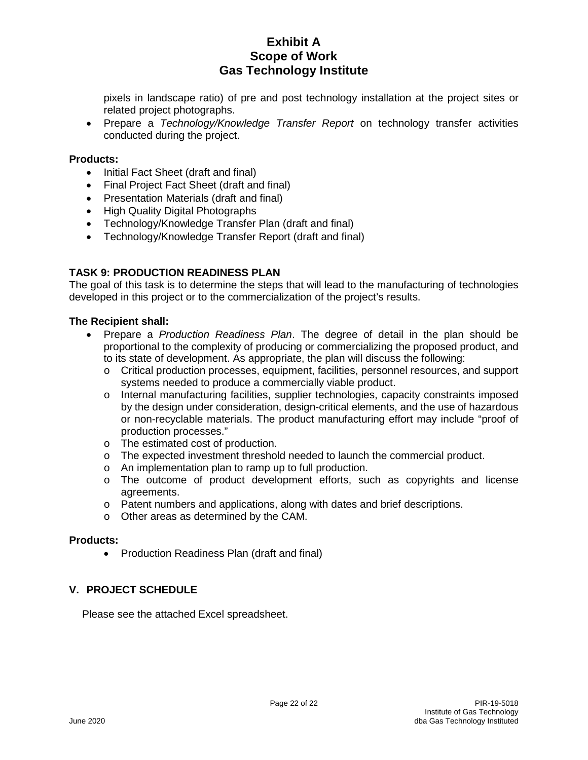pixels in landscape ratio) of pre and post technology installation at the project sites or related project photographs.

• Prepare a *Technology/Knowledge Transfer Report* on technology transfer activities conducted during the project.

#### **Products:**

- Initial Fact Sheet (draft and final)
- Final Project Fact Sheet (draft and final)
- Presentation Materials (draft and final)
- High Quality Digital Photographs
- Technology/Knowledge Transfer Plan (draft and final)
- Technology/Knowledge Transfer Report (draft and final)

#### **TASK 9: PRODUCTION READINESS PLAN**

The goal of this task is to determine the steps that will lead to the manufacturing of technologies developed in this project or to the commercialization of the project's results.

#### **The Recipient shall:**

- Prepare a *Production Readiness Plan*. The degree of detail in the plan should be proportional to the complexity of producing or commercializing the proposed product, and to its state of development. As appropriate, the plan will discuss the following:
	- o Critical production processes, equipment, facilities, personnel resources, and support systems needed to produce a commercially viable product.
	- o Internal manufacturing facilities, supplier technologies, capacity constraints imposed by the design under consideration, design-critical elements, and the use of hazardous or non-recyclable materials. The product manufacturing effort may include "proof of production processes."
	- o The estimated cost of production.
	- o The expected investment threshold needed to launch the commercial product.
	- o An implementation plan to ramp up to full production.
	- o The outcome of product development efforts, such as copyrights and license agreements.
	- o Patent numbers and applications, along with dates and brief descriptions.
	- o Other areas as determined by the CAM.

#### **Products:**

• Production Readiness Plan (draft and final)

#### **V. PROJECT SCHEDULE**

Please see the attached Excel spreadsheet.